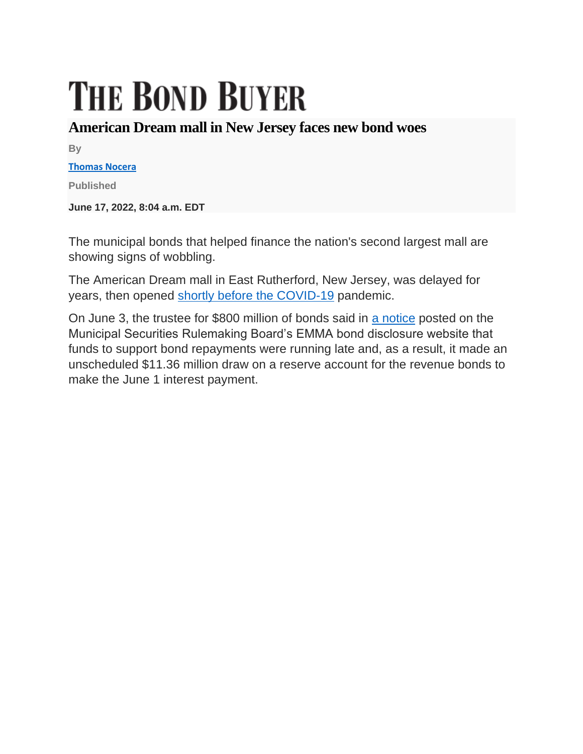## **THE BOND BUYER**

## **American Dream mall in New Jersey faces new bond woes**

**By**

## **[Thomas Nocera](https://www.bondbuyer.com/author/thomas-nocera)**

**Published**

**June 17, 2022, 8:04 a.m. EDT**

The municipal bonds that helped finance the nation's second largest mall are showing signs of wobbling.

The American Dream mall in East Rutherford, New Jersey, was delayed for years, then opened [shortly before the COVID-19](https://www.bondbuyer.com/news/investors-jump-ship-as-american-dream-collides-with-coronavirus) pandemic.

On June 3, the trustee for \$800 million of bonds said in [a notice](https://emma.msrb.org/P21578307-P21218460-P21640066.pdf) posted on the Municipal Securities Rulemaking Board's EMMA bond disclosure website that funds to support bond repayments were running late and, as a result, it made an unscheduled \$11.36 million draw on a reserve account for the revenue bonds to make the June 1 interest payment.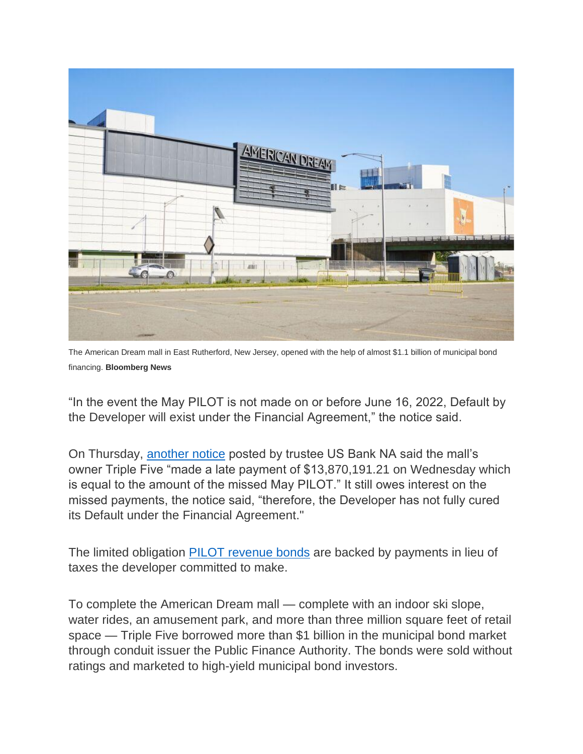

The American Dream mall in East Rutherford, New Jersey, opened with the help of almost \$1.1 billion of municipal bond financing. **Bloomberg News**

"In the event the May PILOT is not made on or before June 16, 2022, Default by the Developer will exist under the Financial Agreement," the notice said.

On Thursday, [another notice](https://emma.msrb.org/P31436187-P31115809-P31527180.pdf) posted by trustee US Bank NA said the mall's owner Triple Five "made a late payment of \$13,870,191.21 on Wednesday which is equal to the amount of the missed May PILOT." It still owes interest on the missed payments, the notice said, "therefore, the Developer has not fully cured its Default under the Financial Agreement."

The limited obligation [PILOT revenue bonds](https://www.bondbuyer.com/news/unrated-bonds-for-new-jerseys-american-dream-mall-to-test-the-market) are backed by payments in lieu of taxes the developer committed to make.

To complete the American Dream mall — complete with an indoor ski slope, water rides, an amusement park, and more than three million square feet of retail space — Triple Five borrowed more than \$1 billion in the municipal bond market through conduit issuer the Public Finance Authority. The bonds were sold without ratings and marketed to high-yield municipal bond investors.